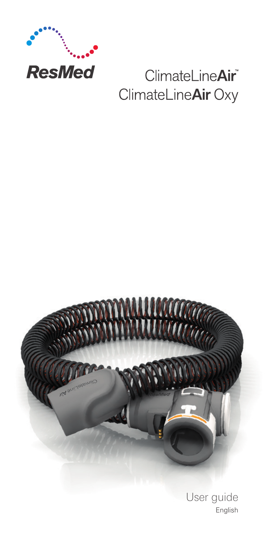

# ClimateLineAir® ClimateLineAir Oxy



User guide English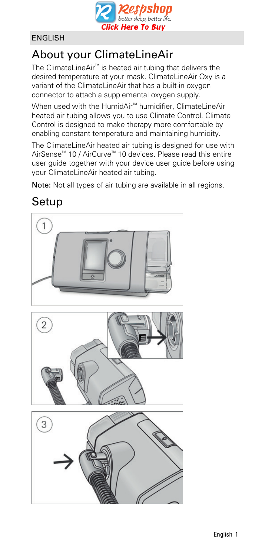

### ENGLISH

### About your ClimateLineAir

The ClimateLineAir™ is heated air tubing that delivers the desired temperature at your mask. ClimateLineAir Oxy is a variant of the ClimateLineAir that has a built-in oxygen connector to attach a supplemental oxygen supply.

When used with the HumidAir™ humidifier, ClimateLineAir heated air tubing allows you to use Climate Control. Climate Control is designed to make therapy more comfortable by enabling constant temperature and maintaining humidity.

The ClimateLineAir heated air tubing is designed for use with AirSense™ 10 / AirCurve™ 10 devices. Please read this entire user guide together with your device user guide before using your ClimateLineAir heated air tubing.

Note: Not all types of air tubing are available in all regions.

## Setup

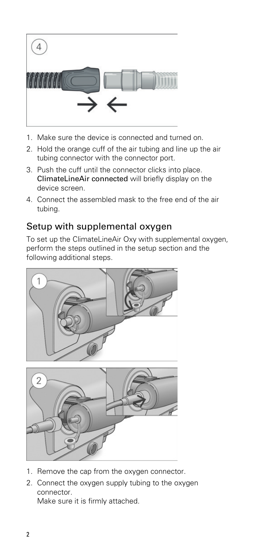

- 1. Make sure the device is connected and turned on.
- 2. Hold the orange cuff of the air tubing and line up the air tubing connector with the connector port.
- 3. Push the cuff until the connector clicks into place. ClimateLineAir connected will briefly display on the device screen.
- 4. Connect the assembled mask to the free end of the air tubing.

### Setup with supplemental oxygen

To set up the ClimateLineAir Oxy with supplemental oxygen, perform the steps outlined in the setup section and the following additional steps.





- 1. Remove the cap from the oxygen connector.
- 2. Connect the oxygen supply tubing to the oxygen connector. Make sure it is firmly attached.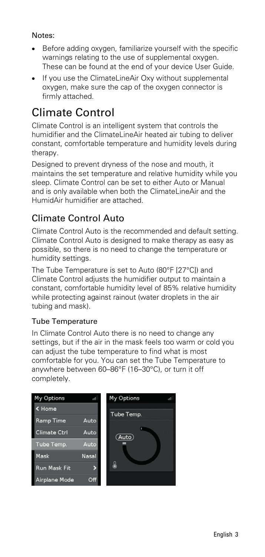#### Notes:

- Before adding oxygen, familiarize yourself with the specific warnings relating to the use of supplemental oxygen. These can be found at the end of your device User Guide.
- If you use the ClimateLineAir Oxy without supplemental oxygen, make sure the cap of the oxygen connector is firmly attached.

### Climate Control

Climate Control is an intelligent system that controls the humidifier and the ClimateLineAir heated air tubing to deliver constant, comfortable temperature and humidity levels during therapy.

Designed to prevent dryness of the nose and mouth, it maintains the set temperature and relative humidity while you sleep. Climate Control can be set to either Auto or Manual and is only available when both the ClimateLineAir and the HumidAir humidifier are attached.

### Climate Control Auto

Climate Control Auto is the recommended and default setting. Climate Control Auto is designed to make therapy as easy as possible, so there is no need to change the temperature or humidity settings.

The Tube Temperature is set to Auto (80°F [27°C]) and Climate Control adjusts the humidifier output to maintain a constant, comfortable humidity level of 85% relative humidity while protecting against rainout (water droplets in the air tubing and mask).

#### Tube Temperature

In Climate Control Auto there is no need to change any settings, but if the air in the mask feels too warm or cold you can adjust the tube temperature to find what is most comfortable for you. You can set the Tube Temperature to anywhere between 60–86°F (16–30°C), or turn it off completely.

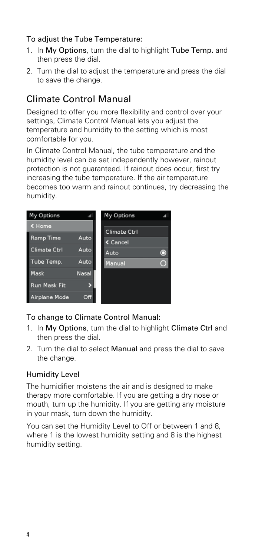#### To adjust the Tube Temperature:

- 1. In My Options, turn the dial to highlight Tube Temp. and then press the dial.
- 2. Turn the dial to adjust the temperature and press the dial to save the change.

### Climate Control Manual

Designed to offer you more flexibility and control over your settings, Climate Control Manual lets you adjust the temperature and humidity to the setting which is most comfortable for you.

In Climate Control Manual, the tube temperature and the humidity level can be set independently however, rainout protection is not guaranteed. If rainout does occur, first try increasing the tube temperature. If the air temperature becomes too warm and rainout continues, try decreasing the humidity.



#### To change to Climate Control Manual:

- 1. In My Options, turn the dial to highlight Climate Ctrl and then press the dial.
- 2. Turn the dial to select Manual and press the dial to save the change.

#### Humidity Level

The humidifier moistens the air and is designed to make therapy more comfortable. If you are getting a dry nose or mouth, turn up the humidity. If you are getting any moisture in your mask, turn down the humidity.

You can set the Humidity Level to Off or between 1 and 8, where 1 is the lowest humidity setting and 8 is the highest humidity setting.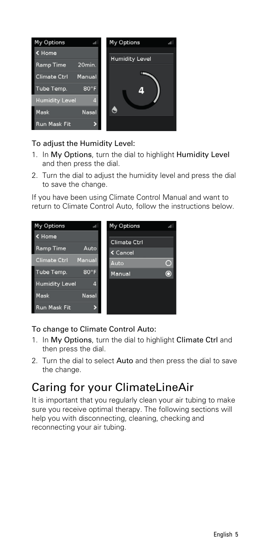

#### To adjust the Humidity Level:

- 1. In My Options, turn the dial to highlight Humidity Level and then press the dial.
- 2. Turn the dial to adjust the humidity level and press the dial to save the change.

If you have been using Climate Control Manual and want to return to Climate Control Auto, follow the instructions below.



#### To change to Climate Control Auto:

- 1. In My Options, turn the dial to highlight Climate Ctrl and then press the dial.
- 2. Turn the dial to select Auto and then press the dial to save the change.

### Caring for your ClimateLineAir

It is important that you regularly clean your air tubing to make sure you receive optimal therapy. The following sections will help you with disconnecting, cleaning, checking and reconnecting your air tubing.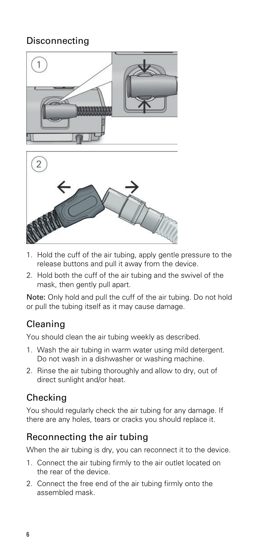### Disconnecting





- 1. Hold the cuff of the air tubing, apply gentle pressure to the release buttons and pull it away from the device.
- 2. Hold both the cuff of the air tubing and the swivel of the mask, then gently pull apart.

Note: Only hold and pull the cuff of the air tubing. Do not hold or pull the tubing itself as it may cause damage.

### Cleaning

You should clean the air tubing weekly as described.

- 1. Wash the air tubing in warm water using mild detergent. Do not wash in a dishwasher or washing machine.
- 2. Rinse the air tubing thoroughly and allow to dry, out of direct sunlight and/or heat.

### Checking

You should regularly check the air tubing for any damage. If there are any holes, tears or cracks you should replace it.

### Reconnecting the air tubing

When the air tubing is dry, you can reconnect it to the device.

- 1. Connect the air tubing firmly to the air outlet located on the rear of the device.
- 2. Connect the free end of the air tubing firmly onto the assembled mask.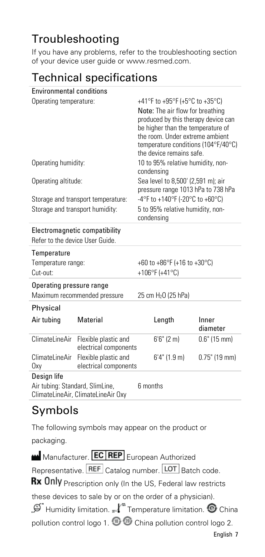## Troubleshooting

If you have any problems, refer to the troubleshooting section of your device user guide or www.resmed.com.

## Technical specifications

| <b>Environmental conditions</b>                                                      |                                               |                                                                                                                                                                                                                                                      |                   |
|--------------------------------------------------------------------------------------|-----------------------------------------------|------------------------------------------------------------------------------------------------------------------------------------------------------------------------------------------------------------------------------------------------------|-------------------|
| Operating temperature:                                                               |                                               | +41°F to +95°F (+5°C to +35°C)<br>Note: The air flow for breathing<br>produced by this therapy device can<br>be higher than the temperature of<br>the room. Under extreme ambient<br>temperature conditions (104°F/40°C)<br>the device remains safe. |                   |
| Operating humidity:                                                                  |                                               | 10 to 95% relative humidity, non-<br>condensing                                                                                                                                                                                                      |                   |
| Operating altitude:                                                                  |                                               | Sea level to 8,500' (2,591 m); air<br>pressure range 1013 hPa to 738 hPa                                                                                                                                                                             |                   |
| Storage and transport temperature:<br>Storage and transport humidity:                |                                               | -4°F to +140°F (-20°C to +60°C)<br>5 to 95% relative humidity, non-<br>condensing                                                                                                                                                                    |                   |
| Electromagnetic compatibility<br>Refer to the device User Guide.                     |                                               |                                                                                                                                                                                                                                                      |                   |
| Temperature<br>Temperature range:<br>Cut-out:                                        |                                               | +60 to +86 $^{\circ}$ F (+16 to +30 $^{\circ}$ C)<br>+106°F (+41°C)                                                                                                                                                                                  |                   |
| Operating pressure range<br>Maximum recommended pressure                             |                                               | 25 cm H <sub>2</sub> O (25 hPa)                                                                                                                                                                                                                      |                   |
| Physical                                                                             |                                               |                                                                                                                                                                                                                                                      |                   |
| Air tubing                                                                           | Material                                      | Length                                                                                                                                                                                                                                               | Inner<br>diameter |
| ClimateLineAir                                                                       | Flexible plastic and<br>electrical components | $6'6''$ (2 m)                                                                                                                                                                                                                                        | $0.6"$ (15 mm)    |
| ClimateLineAir<br>0xy                                                                | Flexible plastic and<br>electrical components | $6'4''$ (1.9 m)                                                                                                                                                                                                                                      | $0.75$ " (19 mm)  |
| Design life<br>Air tubing: Standard, SlimLine,<br>ClimateLineAir, ClimateLineAir Oxy |                                               | 6 months                                                                                                                                                                                                                                             |                   |

### Symbols

The following symbols may appear on the product or packaging.

Manufacturer. **EC REP** European Authorized Representative. REF Catalog number. LOT Batch code. Rx Only Prescription only (In the US, Federal law restricts these devices to sale by or on the order of a physician).  $\mathcal{L}$  Humidity limitation.  $\mathcal{L}$  Temperature limitation.  $\Theta$  China pollution control logo 1. **Change 2.** China pollution control logo 2. English 7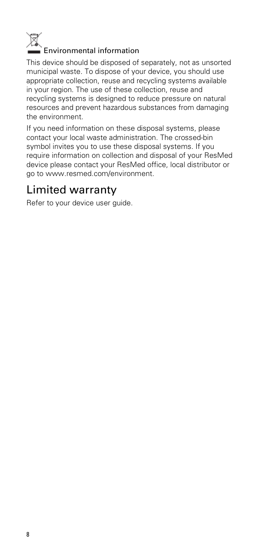

### Environmental information

This device should be disposed of separately, not as unsorted municipal waste. To dispose of your device, you should use appropriate collection, reuse and recycling systems available in your region. The use of these collection, reuse and recycling systems is designed to reduce pressure on natural resources and prevent hazardous substances from damaging the environment.

If you need information on these disposal systems, please contact your local waste administration. The crossed-bin symbol invites you to use these disposal systems. If you require information on collection and disposal of your ResMed device please contact your ResMed office, local distributor or go to www.resmed.com/environment.

### Limited warranty

Refer to your device user guide.